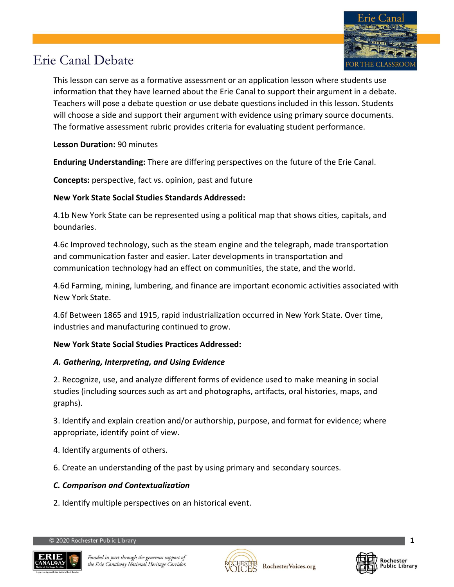

This lesson can serve as a formative assessment or an application lesson where students use information that they have learned about the Erie Canal to support their argument in a debate. Teachers will pose a debate question or use debate questions included in this lesson. Students will choose a side and support their argument with evidence using primary source documents. The formative assessment rubric provides criteria for evaluating student performance.

### **Lesson Duration:** 90 minutes

**Enduring Understanding:** There are differing perspectives on the future of the Erie Canal.

**Concepts:** perspective, fact vs. opinion, past and future

### **New York State Social Studies Standards Addressed:**

4.1b New York State can be represented using a political map that shows cities, capitals, and boundaries.

4.6c Improved technology, such as the steam engine and the telegraph, made transportation and communication faster and easier. Later developments in transportation and communication technology had an effect on communities, the state, and the world.

4.6d Farming, mining, lumbering, and finance are important economic activities associated with New York State.

4.6f Between 1865 and 1915, rapid industrialization occurred in New York State. Over time, industries and manufacturing continued to grow.

### **New York State Social Studies Practices Addressed:**

### *A. Gathering, Interpreting, and Using Evidence*

2. Recognize, use, and analyze different forms of evidence used to make meaning in social studies (including sources such as art and photographs, artifacts, oral histories, maps, and graphs).

3. Identify and explain creation and/or authorship, purpose, and format for evidence; where appropriate, identify point of view.

- 4. Identify arguments of others.
- 6. Create an understanding of the past by using primary and secondary sources.

### *C. Comparison and Contextualization*

2. Identify multiple perspectives on an historical event.





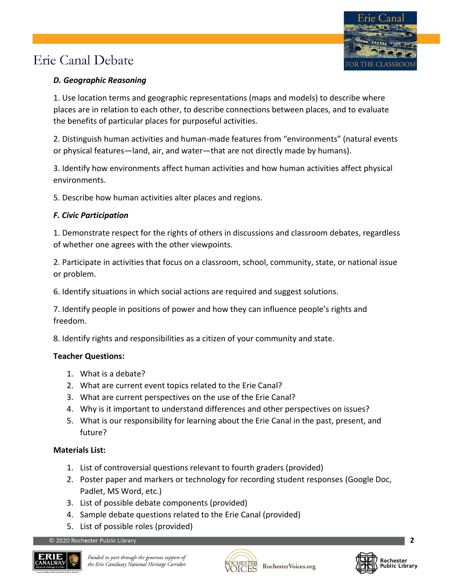### *D. Geographic Reasoning*

1. Use location terms and geographic representations (maps and models) to describe where places are in relation to each other, to describe connections between places, and to evaluate the benefits of particular places for purposeful activities.

2. Distinguish human activities and human-made features from "environments" (natural events or physical features—land, air, and water—that are not directly made by humans).

3. Identify how environments affect human activities and how human activities affect physical environments.

5. Describe how human activities alter places and regions.

### *F. Civic Participation*

1. Demonstrate respect for the rights of others in discussions and classroom debates, regardless of whether one agrees with the other viewpoints.

2. Participate in activities that focus on a classroom, school, community, state, or national issue or problem.

6. Identify situations in which social actions are required and suggest solutions.

7. Identify people in positions of power and how they can influence people's rights and freedom.

8. Identify rights and responsibilities as a citizen of your community and state.

### **Teacher Questions:**

- 1. What is a debate?
- 2. What are current event topics related to the Erie Canal?
- 3. What are current perspectives on the use of the Erie Canal?
- 4. Why is it important to understand differences and other perspectives on issues?
- 5. What is our responsibility for learning about the Erie Canal in the past, present, and future?

### **Materials List:**

- 1. List of controversial questions relevant to fourth graders (provided)
- 2. Poster paper and markers or technology for recording student responses (Google Doc, Padlet, MS Word, etc.)
- 3. List of possible debate components (provided)
- 4. Sample debate questions related to the Erie Canal (provided)
- 5. List of possible roles (provided)





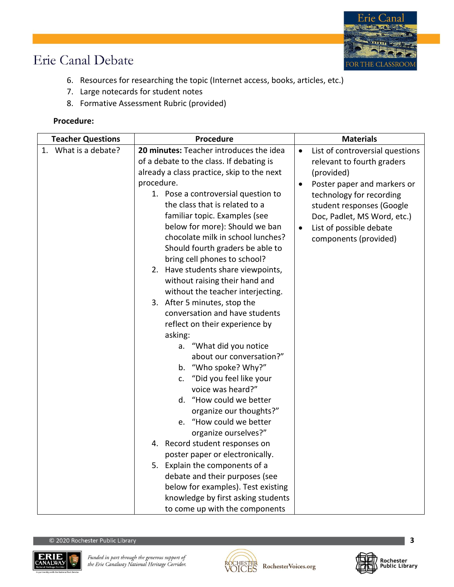

- 6. Resources for researching the topic (Internet access, books, articles, etc.)
- 7. Large notecards for student notes
- 8. Formative Assessment Rubric (provided)

### **Procedure:**

| <b>Teacher Questions</b> | <b>Procedure</b>                                                                                                                                                                                                                                                                                                                                                                                                                                                                                                                                                                                                                                                                                                                                                                                                                                                                                                                                                                                                                                                                                    | <b>Materials</b>                                                                                                                                                                                                                                                                              |  |
|--------------------------|-----------------------------------------------------------------------------------------------------------------------------------------------------------------------------------------------------------------------------------------------------------------------------------------------------------------------------------------------------------------------------------------------------------------------------------------------------------------------------------------------------------------------------------------------------------------------------------------------------------------------------------------------------------------------------------------------------------------------------------------------------------------------------------------------------------------------------------------------------------------------------------------------------------------------------------------------------------------------------------------------------------------------------------------------------------------------------------------------------|-----------------------------------------------------------------------------------------------------------------------------------------------------------------------------------------------------------------------------------------------------------------------------------------------|--|
| 1. What is a debate?     | 20 minutes: Teacher introduces the idea<br>of a debate to the class. If debating is<br>already a class practice, skip to the next<br>procedure.<br>1. Pose a controversial question to<br>the class that is related to a<br>familiar topic. Examples (see<br>below for more): Should we ban<br>chocolate milk in school lunches?<br>Should fourth graders be able to<br>bring cell phones to school?<br>2. Have students share viewpoints,<br>without raising their hand and<br>without the teacher interjecting.<br>3. After 5 minutes, stop the<br>conversation and have students<br>reflect on their experience by<br>asking:<br>a. "What did you notice<br>about our conversation?"<br>b. "Who spoke? Why?"<br>"Did you feel like your<br>c.<br>voice was heard?"<br>d. "How could we better<br>organize our thoughts?"<br>e. "How could we better<br>organize ourselves?"<br>4. Record student responses on<br>poster paper or electronically.<br>5. Explain the components of a<br>debate and their purposes (see<br>below for examples). Test existing<br>knowledge by first asking students | List of controversial questions<br>$\bullet$<br>relevant to fourth graders<br>(provided)<br>Poster paper and markers or<br>$\bullet$<br>technology for recording<br>student responses (Google<br>Doc, Padlet, MS Word, etc.)<br>List of possible debate<br>$\bullet$<br>components (provided) |  |
|                          | to come up with the components                                                                                                                                                                                                                                                                                                                                                                                                                                                                                                                                                                                                                                                                                                                                                                                                                                                                                                                                                                                                                                                                      |                                                                                                                                                                                                                                                                                               |  |





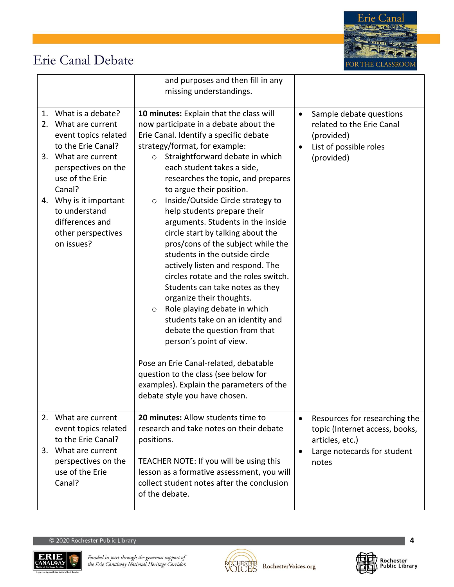

|                                                                                                                                                                                                                                                                           | and purposes and then fill in any<br>missing understandings.                                                                                                                                                                                                                                                                                                                                                                                                                                                                                                                                                                                                                                                                                                                                                                                                                                                                                                                             |                                                                                                                                         |
|---------------------------------------------------------------------------------------------------------------------------------------------------------------------------------------------------------------------------------------------------------------------------|------------------------------------------------------------------------------------------------------------------------------------------------------------------------------------------------------------------------------------------------------------------------------------------------------------------------------------------------------------------------------------------------------------------------------------------------------------------------------------------------------------------------------------------------------------------------------------------------------------------------------------------------------------------------------------------------------------------------------------------------------------------------------------------------------------------------------------------------------------------------------------------------------------------------------------------------------------------------------------------|-----------------------------------------------------------------------------------------------------------------------------------------|
| 1. What is a debate?<br>What are current<br>2.<br>event topics related<br>to the Erie Canal?<br>3. What are current<br>perspectives on the<br>use of the Erie<br>Canal?<br>4. Why is it important<br>to understand<br>differences and<br>other perspectives<br>on issues? | 10 minutes: Explain that the class will<br>now participate in a debate about the<br>Erie Canal. Identify a specific debate<br>strategy/format, for example:<br>Straightforward debate in which<br>$\circ$<br>each student takes a side,<br>researches the topic, and prepares<br>to argue their position.<br>Inside/Outside Circle strategy to<br>O<br>help students prepare their<br>arguments. Students in the inside<br>circle start by talking about the<br>pros/cons of the subject while the<br>students in the outside circle<br>actively listen and respond. The<br>circles rotate and the roles switch.<br>Students can take notes as they<br>organize their thoughts.<br>Role playing debate in which<br>$\circ$<br>students take on an identity and<br>debate the question from that<br>person's point of view.<br>Pose an Erie Canal-related, debatable<br>question to the class (see below for<br>examples). Explain the parameters of the<br>debate style you have chosen. | Sample debate questions<br>$\bullet$<br>related to the Erie Canal<br>(provided)<br>List of possible roles<br>$\bullet$<br>(provided)    |
| 2.<br>What are current<br>event topics related<br>to the Erie Canal?<br>3. What are current<br>perspectives on the<br>use of the Erie<br>Canal?                                                                                                                           | 20 minutes: Allow students time to<br>research and take notes on their debate<br>positions.<br>TEACHER NOTE: If you will be using this<br>lesson as a formative assessment, you will<br>collect student notes after the conclusion<br>of the debate.                                                                                                                                                                                                                                                                                                                                                                                                                                                                                                                                                                                                                                                                                                                                     | Resources for researching the<br>$\bullet$<br>topic (Internet access, books,<br>articles, etc.)<br>Large notecards for student<br>notes |





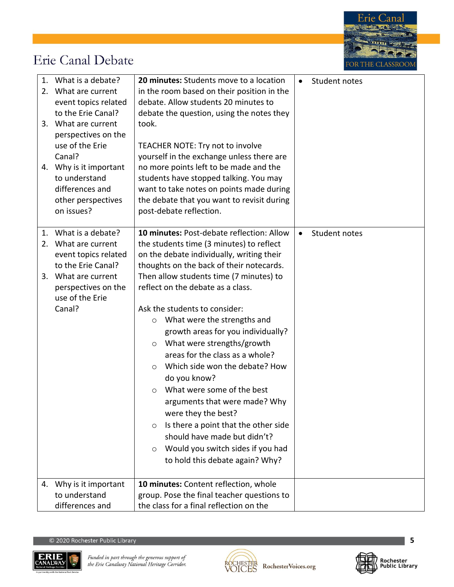

|    | 1. What is a debate?<br>2. What are current<br>event topics related<br>to the Erie Canal?<br>3. What are current<br>perspectives on the<br>use of the Erie<br>Canal?<br>4. Why is it important | 20 minutes: Students move to a location<br>in the room based on their position in the<br>debate. Allow students 20 minutes to<br>debate the question, using the notes they<br>took.<br>TEACHER NOTE: Try not to involve<br>yourself in the exchange unless there are<br>no more points left to be made and the                                                                                                                                                                                                                 |  | Student notes |
|----|------------------------------------------------------------------------------------------------------------------------------------------------------------------------------------------------|--------------------------------------------------------------------------------------------------------------------------------------------------------------------------------------------------------------------------------------------------------------------------------------------------------------------------------------------------------------------------------------------------------------------------------------------------------------------------------------------------------------------------------|--|---------------|
|    | to understand<br>differences and<br>other perspectives<br>on issues?                                                                                                                           | students have stopped talking. You may<br>want to take notes on points made during<br>the debate that you want to revisit during<br>post-debate reflection.                                                                                                                                                                                                                                                                                                                                                                    |  |               |
| 2. | 1. What is a debate?<br>What are current<br>event topics related<br>to the Erie Canal?<br>3. What are current<br>perspectives on the<br>use of the Erie                                        | 10 minutes: Post-debate reflection: Allow<br>the students time (3 minutes) to reflect<br>on the debate individually, writing their<br>thoughts on the back of their notecards.<br>Then allow students time (7 minutes) to<br>reflect on the debate as a class.                                                                                                                                                                                                                                                                 |  | Student notes |
|    | Canal?                                                                                                                                                                                         | Ask the students to consider:<br>What were the strengths and<br>$\circ$<br>growth areas for you individually?<br>What were strengths/growth<br>$\circ$<br>areas for the class as a whole?<br>Which side won the debate? How<br>$\circ$<br>do you know?<br>What were some of the best<br>$\Omega$<br>arguments that were made? Why<br>were they the best?<br>Is there a point that the other side<br>$\circ$<br>should have made but didn't?<br>Would you switch sides if you had<br>$\circ$<br>to hold this debate again? Why? |  |               |
|    | 4. Why is it important<br>to understand<br>differences and                                                                                                                                     | 10 minutes: Content reflection, whole<br>group. Pose the final teacher questions to<br>the class for a final reflection on the                                                                                                                                                                                                                                                                                                                                                                                                 |  |               |





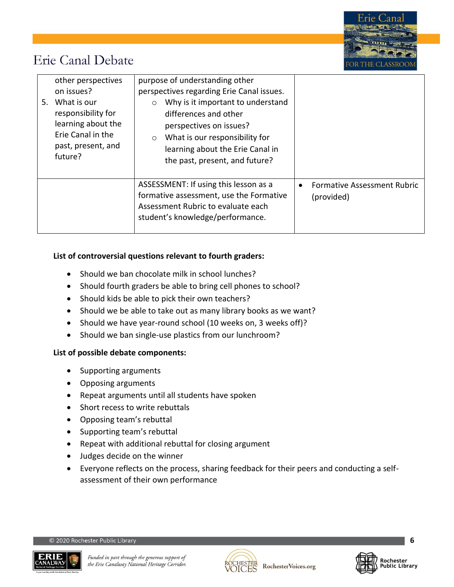

| other perspectives                                                                                                  | purpose of understanding other                                                                                                                                                                                      |                                                  |
|---------------------------------------------------------------------------------------------------------------------|---------------------------------------------------------------------------------------------------------------------------------------------------------------------------------------------------------------------|--------------------------------------------------|
| on issues?                                                                                                          | perspectives regarding Erie Canal issues.                                                                                                                                                                           |                                                  |
| What is our<br>5.<br>responsibility for<br>learning about the<br>Erie Canal in the<br>past, present, and<br>future? | Why is it important to understand<br>$\circ$<br>differences and other<br>perspectives on issues?<br>What is our responsibility for<br>$\circ$<br>learning about the Erie Canal in<br>the past, present, and future? |                                                  |
|                                                                                                                     | ASSESSMENT: If using this lesson as a<br>formative assessment, use the Formative<br>Assessment Rubric to evaluate each<br>student's knowledge/performance.                                                          | <b>Formative Assessment Rubric</b><br>(provided) |

#### **List of controversial questions relevant to fourth graders:**

- Should we ban chocolate milk in school lunches?
- Should fourth graders be able to bring cell phones to school?
- Should kids be able to pick their own teachers?
- Should we be able to take out as many library books as we want?
- Should we have year-round school (10 weeks on, 3 weeks off)?
- Should we ban single-use plastics from our lunchroom?

#### **List of possible debate components:**

- Supporting arguments
- Opposing arguments
- Repeat arguments until all students have spoken
- Short recess to write rebuttals
- Opposing team's rebuttal
- Supporting team's rebuttal
- Repeat with additional rebuttal for closing argument
- Judges decide on the winner
- Everyone reflects on the process, sharing feedback for their peers and conducting a selfassessment of their own performance





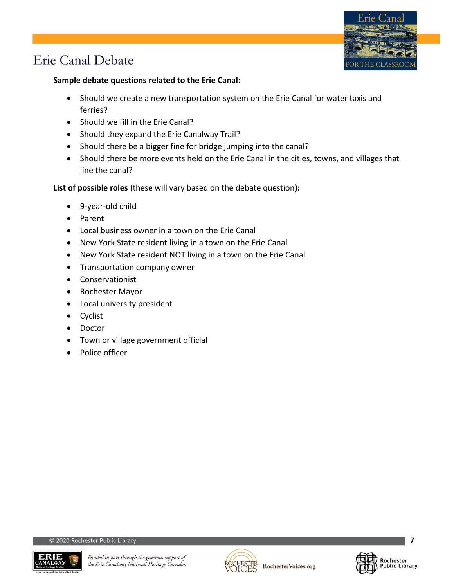

### **Sample debate questions related to the Erie Canal:**

- Should we create a new transportation system on the Erie Canal for water taxis and ferries?
- Should we fill in the Erie Canal?
- Should they expand the Erie Canalway Trail?
- Should there be a bigger fine for bridge jumping into the canal?
- Should there be more events held on the Erie Canal in the cities, towns, and villages that line the canal?

**List of possible roles** (these will vary based on the debate question)**:**

- 9-year-old child
- Parent
- Local business owner in a town on the Erie Canal
- New York State resident living in a town on the Erie Canal
- New York State resident NOT living in a town on the Erie Canal
- Transportation company owner
- Conservationist
- Rochester Mayor
- Local university president
- Cyclist
- Doctor
- Town or village government official
- Police officer